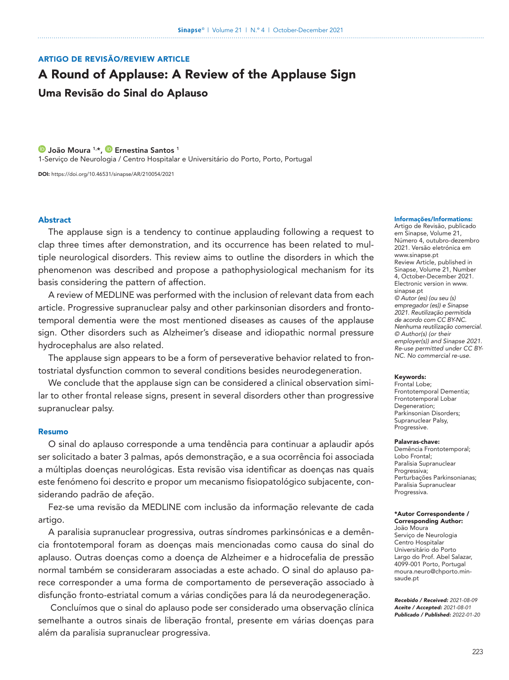# ARTIGO DE REVISÃO/REVIEW ARTICLE

# A Round of Applause: A Review of the Applause Sign Uma Revisão do Sinal do Aplauso

**D** [João Moura](https://orcid.org/0000-0002-4212-906X) <sup>1,\*</sup>, **D** [Ernestina Santos](https://orcid.org/0000-0003-4053-8940) <sup>1</sup> 1-Serviço de Neurologia / Centro Hospitalar e Universitário do Porto, Porto, Portugal

DOI: <https://doi.org/10.46531/sinapse/AR/210054/2021>

# Abstract

The applause sign is a tendency to continue applauding following a request to clap three times after demonstration, and its occurrence has been related to multiple neurological disorders. This review aims to outline the disorders in which the phenomenon was described and propose a pathophysiological mechanism for its basis considering the pattern of affection.

A review of MEDLINE was performed with the inclusion of relevant data from each article. Progressive supranuclear palsy and other parkinsonian disorders and frontotemporal dementia were the most mentioned diseases as causes of the applause sign. Other disorders such as Alzheimer's disease and idiopathic normal pressure hydrocephalus are also related.

The applause sign appears to be a form of perseverative behavior related to frontostriatal dysfunction common to several conditions besides neurodegeneration.

We conclude that the applause sign can be considered a clinical observation similar to other frontal release signs, present in several disorders other than progressive supranuclear palsy.

### Resumo

O sinal do aplauso corresponde a uma tendência para continuar a aplaudir após ser solicitado a bater 3 palmas, após demonstração, e a sua ocorrência foi associada a múltiplas doenças neurológicas. Esta revisão visa identificar as doenças nas quais este fenómeno foi descrito e propor um mecanismo fisiopatológico subjacente, considerando padrão de afeção.

Fez-se uma revisão da MEDLINE com inclusão da informação relevante de cada artigo.

A paralisia supranuclear progressiva, outras síndromes parkinsónicas e a demência frontotemporal foram as doenças mais mencionadas como causa do sinal do aplauso. Outras doenças como a doença de Alzheimer e a hidrocefalia de pressão normal também se consideraram associadas a este achado. O sinal do aplauso parece corresponder a uma forma de comportamento de perseveração associado à disfunção fronto-estriatal comum a várias condições para lá da neurodegeneração.

 Concluímos que o sinal do aplauso pode ser considerado uma observação clínica semelhante a outros sinais de liberação frontal, presente em várias doenças para além da paralisia supranuclear progressiva.

#### Informações/Informations:

Artigo de Revisão, publicado em Sinapse, Volume 21, Número 4, outubro-dezembro 2021. Versão eletrónica em www.sinapse.pt Review Article, published in Sinapse, Volume 21, Number 4, October-December 2021. Electronic version in www. sinapse.pt *© Autor (es) (ou seu (s) empregador (es)) e Sinapse 2021. Reutilização permitida de acordo com CC BY-NC. Nenhuma reutilização comercial. © Author(s) (or their employer(s)) and Sinapse 2021. Re-use permitted under CC BY-NC. No commercial re-use.* 

#### Keywords:

Frontal Lobe; Frontotemporal Dementia; Frontotemporal Lobar Degeneration; Parkinsonian Disorders; Supranuclear Palsy, Progressive.

#### Palavras-chave:

Demência Frontotemporal; Lobo Frontal; Paralisia Supranuclear Progressiva; Perturbações Parkinsonianas; Paralisia Supranuclear Progressiva.

### \*Autor Correspondente / Corresponding Author: João Moura Serviço de Neurologia

Centro Hospitalar Universitário do Porto Largo do Prof. Abel Salazar, 4099-001 Porto, Portugal moura.neuro@chporto.minsaude.pt

*Recebido / Received: 2021-08-09 Aceite / Accepted: 2021-08-01 Publicado / Published: 2022-01-20*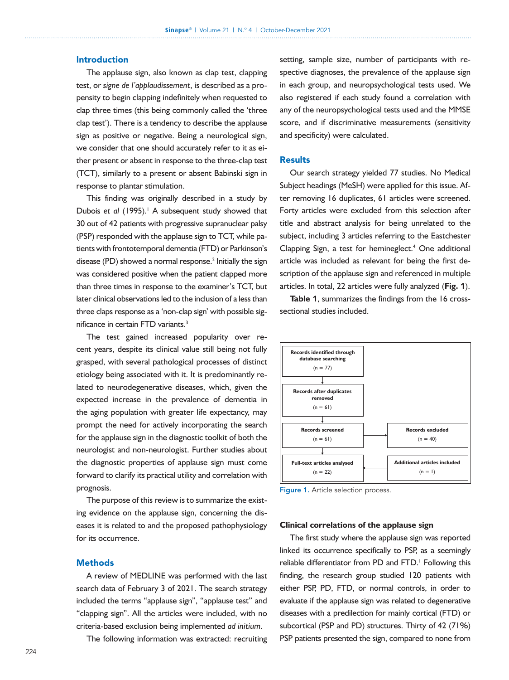# Introduction

The applause sign, also known as clap test, clapping test, or *signe de l'applaudissement*, is described as a propensity to begin clapping indefinitely when requested to clap three times (this being commonly called the 'three clap test'). There is a tendency to describe the applause sign as positive or negative. Being a neurological sign, we consider that one should accurately refer to it as either present or absent in response to the three-clap test (TCT), similarly to a present or absent Babinski sign in response to plantar stimulation.

This finding was originally described in a study by Dubois et al (1995).<sup>1</sup> A subsequent study showed that 30 out of 42 patients with progressive supranuclear palsy (PSP) responded with the applause sign to TCT, while patients with frontotemporal dementia (FTD) or Parkinson's disease (PD) showed a normal response.<sup>2</sup> Initially the sign was considered positive when the patient clapped more than three times in response to the examiner's TCT, but later clinical observations led to the inclusion of a less than three claps response as a 'non-clap sign' with possible significance in certain FTD variants.<sup>3</sup>

The test gained increased popularity over recent years, despite its clinical value still being not fully grasped, with several pathological processes of distinct etiology being associated with it. It is predominantly related to neurodegenerative diseases, which, given the expected increase in the prevalence of dementia in the aging population with greater life expectancy, may prompt the need for actively incorporating the search for the applause sign in the diagnostic toolkit of both the neurologist and non-neurologist. Further studies about the diagnostic properties of applause sign must come forward to clarify its practical utility and correlation with prognosis.

The purpose of this review is to summarize the existing evidence on the applause sign, concerning the diseases it is related to and the proposed pathophysiology for its occurrence.

# **Methods**

A review of MEDLINE was performed with the last search data of February 3 of 2021. The search strategy included the terms "applause sign", "applause test" and "clapping sign". All the articles were included, with no criteria-based exclusion being implemented *ad initium*.

The following information was extracted: recruiting

setting, sample size, number of participants with respective diagnoses, the prevalence of the applause sign in each group, and neuropsychological tests used. We also registered if each study found a correlation with any of the neuropsychological tests used and the MMSE score, and if discriminative measurements (sensitivity and specificity) were calculated.

## **Results**

Our search strategy yielded 77 studies. No Medical Subject headings (MeSH) were applied for this issue. After removing 16 duplicates, 61 articles were screened. Forty articles were excluded from this selection after title and abstract analysis for being unrelated to the subject, including 3 articles referring to the Eastchester Clapping Sign, a test for hemineglect. $4$  One additional article was included as relevant for being the first description of the applause sign and referenced in multiple articles. In total, 22 articles were fully analyzed (**Fig.** 1).

**Table** 1, summarizes the findings from the 16 crosssectional studies included.



Figure 1. Article selection process.

### **Clinical correlations of the applause sign**

The first study where the applause sign was reported linked its occurrence specifically to PSP, as a seemingly reliable differentiator from PD and FTD.<sup>1</sup> Following this finding, the research group studied 120 patients with either PSP, PD, FTD, or normal controls, in order to evaluate if the applause sign was related to degenerative diseases with a predilection for mainly cortical (FTD) or subcortical (PSP and PD) structures. Thirty of 42 (71%) PSP patients presented the sign, compared to none from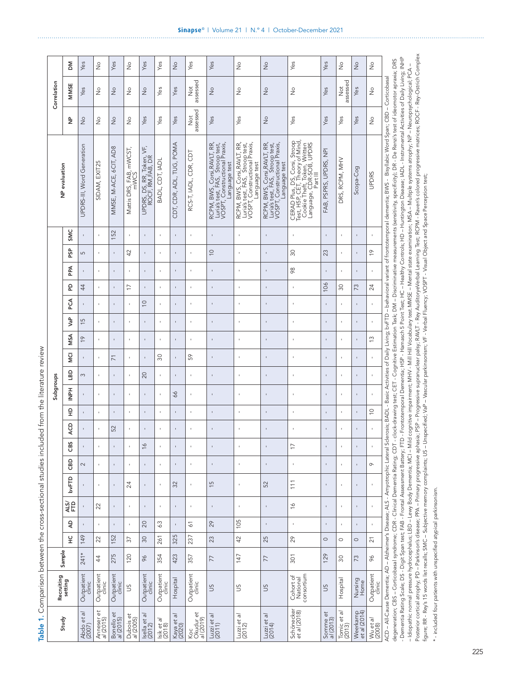|                                                                                                                                                                                                                                                             | ΣÑ                    | Yes                        | $\frac{\circ}{\mathsf{Z}}$ | Yes                     | $\frac{1}{2}$                   | Yes                                           | Yes                  | $\stackrel{\circ}{\geq}$ | Yes                                    | Yes                                                                                                              | $\stackrel{\circ}{\geq}$                                                                                         | $\frac{1}{2}$                                                                                                    | Yes                                                                                                                                      | Yes                    | ş                                        | $\frac{1}{2}$            | $\stackrel{\circ}{\simeq}$ |                                                                                                                                                                                                                                                                                                                                                                                                                                                                  |
|-------------------------------------------------------------------------------------------------------------------------------------------------------------------------------------------------------------------------------------------------------------|-----------------------|----------------------------|----------------------------|-------------------------|---------------------------------|-----------------------------------------------|----------------------|--------------------------|----------------------------------------|------------------------------------------------------------------------------------------------------------------|------------------------------------------------------------------------------------------------------------------|------------------------------------------------------------------------------------------------------------------|------------------------------------------------------------------------------------------------------------------------------------------|------------------------|------------------------------------------|--------------------------|----------------------------|------------------------------------------------------------------------------------------------------------------------------------------------------------------------------------------------------------------------------------------------------------------------------------------------------------------------------------------------------------------------------------------------------------------------------------------------------------------|
| Correlation                                                                                                                                                                                                                                                 | MMSE                  | Yes                        | $\frac{0}{2}$              | $\frac{1}{2}$           | $\frac{1}{2}$                   | $\frac{1}{2}$                                 | Yes                  | Yes                      | assessed<br>$\stackrel{\text{t}}{\ge}$ | $\frac{1}{2}$                                                                                                    | $\frac{1}{2}$                                                                                                    | $\frac{1}{2}$                                                                                                    | $\frac{1}{2}$                                                                                                                            | Yes                    | assessed<br>$\stackrel{\text{ot}}{\geq}$ | Yes                      | $\frac{1}{2}$              |                                                                                                                                                                                                                                                                                                                                                                                                                                                                  |
|                                                                                                                                                                                                                                                             | ے<br>2                | $\frac{1}{2}$              | $\frac{1}{2}$              | $\frac{1}{2}$           | $\frac{1}{2}$                   | Yes                                           | Yes                  | Yes                      | assessed<br>$\overline{\rm 2}$         | Yes                                                                                                              | Yes                                                                                                              | $\frac{1}{2}$                                                                                                    | Yes                                                                                                                                      | Yes                    | Yes                                      | Yes                      | $\frac{1}{2}$              |                                                                                                                                                                                                                                                                                                                                                                                                                                                                  |
| NP evaluation                                                                                                                                                                                                                                               |                       | UPDRS-III, Word Generation | SIDAM, EXIT25              | MMSE, M-ACE, 6CIT, AD8  | Mattis DRS, FAB, mWCST,<br>mWCS | UPDRS, DS, RR, Token, VF,<br>ROCF, RM,FAB, DR | BADL, CDT, IADL      | CDT, CDR, ADL, TUG, POMA | RCS-T, IADL, CDR, CDT                  | RCPM, BWS, Corsi,RAVLT, RR,<br>Luria's test, FAS, Stroop test,<br>VOSPT, Constructional Praxis,<br>Language test | RCPM, BWS, Corsi,RAVLT, RR,<br>Luria's test, FAS, Stroop test,<br>VOSPT, Constructional Praxis,<br>Language test | RCPM, BWS, Corsi,RAVLT, RR,<br>Luria's test, FAS, Stroop test,<br>VOSPT, Constructional Praxis,<br>Language test | CERAD Plus, DS, Corsi, Stroop<br>Test, H5P, CET, Theory of Mind,<br>Cookie Theft, Token, Written<br>Language, CDR-SOB, UPDRS<br>Part III | FAB, PSPRS, UPDRS, NPI | DRS, RCPM, MHV                           | Scopa-Cog                | <b>UPDRS</b>               | degeneration; CBS – Corticobasal syndrome; CDR - Clinical Dementia Rating; CDT - clock-drawing test; CET - Cognitive Estimation Task; DM – Discriminative measurements (senstivity, specificity); DR- De Renzi's test of ideom<br>ACD – All-Cause Dementia; AD – Alzheimer's Disease; ALS – Amyotrophic Lateral Sclerosis; BADL - Basic Activities of Daily Living; bvFTD – behavioral variant of frontotemporal dementia; BWS – Bisyllabic Word Span; CBD – Cor |
| <b>Dinne</b><br>Subgroups<br>CONTRACT CONTRACT AND DESCRIPTION OF A RESIDENCE OF A RESIDENCE OF A RESIDENCE OF A RESIDENCE OF A RESIDENCE OF A RESIDENCE OF A RESIDENCE OF A RESIDENCE OF A RESIDENCE OF A RESIDENCE OF A RESIDENCE OF A RESIDENCE OF A RES | SMC                   |                            |                            | 152                     | t,                              | $\mathbf{I}$                                  | $\bar{\phantom{a}}$  |                          |                                        |                                                                                                                  | t,                                                                                                               |                                                                                                                  |                                                                                                                                          |                        |                                          |                          |                            |                                                                                                                                                                                                                                                                                                                                                                                                                                                                  |
|                                                                                                                                                                                                                                                             | န္မ                   | 5                          |                            | $\,$                    | 42                              | $\mathbf{I}$                                  | $\,$                 | ı                        |                                        | $\supseteq$                                                                                                      | $\mathbf{r}$                                                                                                     | $\mathbf{I}$                                                                                                     | $30\,$                                                                                                                                   | 23                     | ï                                        |                          | $\frac{6}{1}$              |                                                                                                                                                                                                                                                                                                                                                                                                                                                                  |
|                                                                                                                                                                                                                                                             | Æ                     |                            |                            | $\,$                    |                                 |                                               | J.                   |                          |                                        | $\sf I$                                                                                                          | t,                                                                                                               | $\blacksquare$                                                                                                   | $\frac{8}{2}$                                                                                                                            |                        |                                          |                          |                            |                                                                                                                                                                                                                                                                                                                                                                                                                                                                  |
|                                                                                                                                                                                                                                                             | 윤                     | 44                         |                            | $\mathbf{I}$            | $\overline{1}$                  | $\mathbf{I}$                                  | J.                   | t                        |                                        | ï                                                                                                                | $\mathbf{I}$                                                                                                     | $\mathbf{I}$                                                                                                     |                                                                                                                                          | 106                    | 30                                       | 73                       | 24                         |                                                                                                                                                                                                                                                                                                                                                                                                                                                                  |
|                                                                                                                                                                                                                                                             | Ş                     | $\,$                       |                            | $\mathbf{I}$            | t,                              | $\supseteq$                                   | $\mathbf{I}$         | ×                        |                                        | $\mathbf{I}$                                                                                                     | $\mathbf{I}$                                                                                                     | $\blacksquare$                                                                                                   | ï                                                                                                                                        | ı                      | ×                                        |                          |                            |                                                                                                                                                                                                                                                                                                                                                                                                                                                                  |
|                                                                                                                                                                                                                                                             | ۹e<br>لا              | $\frac{5}{1}$              |                            | $\,$                    | ı                               | $\,$                                          | ï                    |                          |                                        |                                                                                                                  | ×                                                                                                                | $\mathbf{I}$                                                                                                     |                                                                                                                                          |                        |                                          |                          |                            |                                                                                                                                                                                                                                                                                                                                                                                                                                                                  |
|                                                                                                                                                                                                                                                             | MSA                   | $\frac{6}{1}$              |                            |                         |                                 |                                               | J.                   |                          |                                        |                                                                                                                  |                                                                                                                  | ×,                                                                                                               |                                                                                                                                          |                        |                                          |                          | $\tilde{c}$                |                                                                                                                                                                                                                                                                                                                                                                                                                                                                  |
|                                                                                                                                                                                                                                                             | Σņ                    | 1                          |                            | $\overline{7}$          | $\mathbf{I}$                    | $\mathbf{I}$                                  | $\overline{30}$      | ı                        | SS                                     | $\blacksquare$                                                                                                   | $\mathbf{I}$                                                                                                     | ı                                                                                                                |                                                                                                                                          | ı                      | ï                                        |                          |                            |                                                                                                                                                                                                                                                                                                                                                                                                                                                                  |
|                                                                                                                                                                                                                                                             | 9g                    | 3                          |                            | $\,$                    |                                 | 20                                            | $\bar{\phantom{a}}$  |                          |                                        |                                                                                                                  | $\mathbf{I}$                                                                                                     | $\,$                                                                                                             |                                                                                                                                          |                        |                                          |                          |                            |                                                                                                                                                                                                                                                                                                                                                                                                                                                                  |
|                                                                                                                                                                                                                                                             | HaNI                  |                            |                            | $\,$                    | ×                               | $\mathbf{I}$                                  | $\mathbf{I}$         | 99                       |                                        |                                                                                                                  | ٠                                                                                                                | $\blacksquare$                                                                                                   |                                                                                                                                          |                        |                                          |                          |                            |                                                                                                                                                                                                                                                                                                                                                                                                                                                                  |
|                                                                                                                                                                                                                                                             | 읖                     | ı,                         |                            | $\,$                    | $\mathbf{I}$                    | $\mathbf{I}$                                  | $\,$                 | J.                       |                                        | $\mathbf{I}$                                                                                                     | $\mathbf{I}$                                                                                                     | $\mathbf{I}$                                                                                                     | ï                                                                                                                                        | ı                      | ï                                        |                          | $\supseteq$                |                                                                                                                                                                                                                                                                                                                                                                                                                                                                  |
|                                                                                                                                                                                                                                                             | ĄCD                   | ı                          |                            | 52                      | t,                              | $\mathbf{I}$                                  | $\mathbf{I}$         |                          |                                        |                                                                                                                  | $\mathbf{I}$                                                                                                     |                                                                                                                  |                                                                                                                                          |                        |                                          |                          |                            |                                                                                                                                                                                                                                                                                                                                                                                                                                                                  |
|                                                                                                                                                                                                                                                             | <b>GBS</b>            |                            |                            |                         |                                 | $\frac{6}{1}$                                 | ł,                   |                          |                                        |                                                                                                                  |                                                                                                                  |                                                                                                                  | $\overline{1}$                                                                                                                           |                        |                                          |                          |                            |                                                                                                                                                                                                                                                                                                                                                                                                                                                                  |
|                                                                                                                                                                                                                                                             | GBD                   | 2                          |                            | $\,$                    | ×                               | $\mathbf{I}$                                  | ł,                   | ı                        |                                        |                                                                                                                  | $\mathbf{I}$                                                                                                     | Î,                                                                                                               |                                                                                                                                          |                        | ï                                        |                          | $\circ$                    |                                                                                                                                                                                                                                                                                                                                                                                                                                                                  |
|                                                                                                                                                                                                                                                             | bvFTD                 |                            | $\mathbf{I}$               | $\blacksquare$          | 24                              | $\,$                                          | $\,$                 | 32                       | $\,$                                   | $\frac{5}{2}$                                                                                                    | $\,$                                                                                                             | 52                                                                                                               | $111$                                                                                                                                    | ı                      | $\mathbf{I}$                             | $\,$                     | ı.                         |                                                                                                                                                                                                                                                                                                                                                                                                                                                                  |
|                                                                                                                                                                                                                                                             | ALS/<br>FTD           |                            | 22                         | $\blacksquare$          | $\,$                            | $\,$                                          | $\,$                 | $\,$                     | $\,$                                   | ı                                                                                                                | $\,$                                                                                                             | $\blacksquare$                                                                                                   | $\frac{1}{2}$                                                                                                                            | ı                      | $\mathbf{I}$                             | $\mathbf{I}$             | ı.                         |                                                                                                                                                                                                                                                                                                                                                                                                                                                                  |
|                                                                                                                                                                                                                                                             | Ą                     | $\,$                       |                            | $\,$                    | f,                              | 20                                            | 63                   | J.                       | 51                                     | 29                                                                                                               | 105                                                                                                              | Î,                                                                                                               | $\,$                                                                                                                                     | ı                      | f,                                       |                          | ı,                         |                                                                                                                                                                                                                                                                                                                                                                                                                                                                  |
|                                                                                                                                                                                                                                                             | 잎                     | 149                        | 22                         | 152                     | 52                              | $\infty$                                      | 261                  | 325                      | 237                                    | 23                                                                                                               | 42                                                                                                               | 25                                                                                                               | 29                                                                                                                                       | $\circ$                | $\circ$                                  | $\circ$                  | 21                         |                                                                                                                                                                                                                                                                                                                                                                                                                                                                  |
|                                                                                                                                                                                                                                                             | Sample                |                            | 44                         | 275                     | 120                             | $\delta$                                      | 354                  | 423                      | 357                                    | 77                                                                                                               | 147                                                                                                              | 77                                                                                                               | 301                                                                                                                                      | 129                    | $\overline{30}$                          | 73                       | 96                         |                                                                                                                                                                                                                                                                                                                                                                                                                                                                  |
|                                                                                                                                                                                                                                                             | Recruiting<br>setting | Outpatient<br>clinic       | Outpatient<br>clinic       | Outpatient<br>clinic    | SC                              | Outpatient<br>clinic                          | Outpatient<br>clinic | Hospital                 | Outpatient<br>clinic                   | SU                                                                                                               | SU                                                                                                               | SU                                                                                                               | consortium<br>Cohort of<br>National                                                                                                      | SU                     | Hospital                                 | Nursing<br>Home          | Outpatient<br>clinic       |                                                                                                                                                                                                                                                                                                                                                                                                                                                                  |
|                                                                                                                                                                                                                                                             | Study                 | Abdo et al<br>(2007)       | õ<br>Anneser<br>al (2015)  | Bonello et<br>al (2015) | Dubois et<br>al (2005)          | Isella et al<br>(2012)                        | lsik et al<br>(2018) | Kaya et al<br>(2020)     | Koc<br>Okudur et<br><i>al</i> (2019)   | Luzzi et al $(2011)$                                                                                             | Luzzi et al $(2012)$                                                                                             | Luzzi et al<br>(2014)                                                                                            | Schönecker<br>et al (2018)                                                                                                               | Somme et<br>al (2013)  | Tomic et al<br>(2013)                    | Weerkamp<br>et al (2014) | Wu et al<br>(2008)         |                                                                                                                                                                                                                                                                                                                                                                                                                                                                  |

Table 1. Comparison between the cross-sectional studies included from the literature review Table 1. Comparison between the cross-sectional studies included from the literature review

- Dementa naturg Scale; D.3 - Digit Spanies, The - nontal Assessment battery. Fi D - montalerity of the Hinds, The Transmission Fields, The Transmission Fields, The Transmission Fields, The Transmission Fields, The Transmi Posterior cortical atrophy; PD – Parkinson's diseases, PRA – Primary progressive aphasis; PSP – Progressive supranuclear palsy; RAVLT - Rey AuditoryeVerbal Learning Test; RCPM - Raven's colored progressive matrices; ROCF -- Idiopathic normal pressure hydrocephalus; LBD - Lewy Body Dementia; MCA Dementia; Mid - Mill + Mill + Mill Hill Vocabulary test.MMSE - Mental state examination; MSA - Multiple systems atrophy; NP - Neuropsychological; PC figure; RR - Rey's 15 words list recalls; SMC – Subjective memory complaints; US – Unspecified; VaP – Vascular parkinsonism; VF - Verbal Fluency; VOSPT - Visual Object and Space Perception test;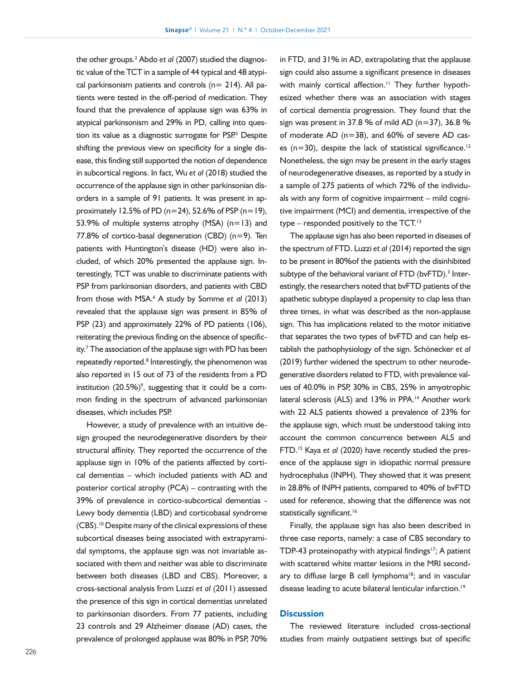the other groups.<sup>2</sup> Abdo et al (2007) studied the diagnostic value of the TCT in a sample of 44 typical and 48 atypical parkinsonism patients and controls ( $n= 214$ ). All patients were tested in the off-period of medication. They found that the prevalence of applause sign was 63% in atypical parkinsonism and 29% in PD, calling into question its value as a diagnostic surrogate for PSP<sup>5</sup> Despite shifting the previous view on specificity for a single disease, this finding still supported the notion of dependence in subcortical regions. In fact, Wu *et al* (2018) studied the occurrence of the applause sign in other parkinsonian disorders in a sample of 91 patients. It was present in approximately 12.5% of PD ( $n=24$ ), 52.6% of PSP ( $n=19$ ), 53.9% of multiple systems atrophy (MSA)  $(n=13)$  and 77.8% of cortico-basal degeneration (CBD)  $(n=9)$ . Ten patients with Huntington's disease (HD) were also included, of which 20% presented the applause sign. Interestingly, TCT was unable to discriminate patients with PSP from parkinsonian disorders, and patients with CBD from those with MSA.<sup>6</sup> A study by Somme et al (2013) revealed that the applause sign was present in 85% of PSP (23) and approximately 22% of PD patients (106), reiterating the previous finding on the absence of specificity.<sup>7</sup> The association of the applause sign with PD has been repeatedly reported.<sup>8</sup> Interestingly, the phenomenon was also reported in 15 out of 73 of the residents from a PD institution  $(20.5\%)$ <sup>9</sup>, suggesting that it could be a common finding in the spectrum of advanced parkinsonian diseases, which includes PSP.

However, a study of prevalence with an intuitive design grouped the neurodegenerative disorders by their structural affinity. They reported the occurrence of the applause sign in 10% of the patients affected by cortical dementias – which included patients with AD and posterior cortical atrophy (PCA) – contrasting with the 39% of prevalence in cortico-subcortical dementias - Lewy body dementia (LBD) and corticobasal syndrome (CBS).10 Despite many of the clinical expressions of these subcortical diseases being associated with extrapyramidal symptoms, the applause sign was not invariable associated with them and neither was able to discriminate between both diseases (LBD and CBS). Moreover, a cross-sectional analysis from Luzzi *et al* (2011) assessed the presence of this sign in cortical dementias unrelated to parkinsonian disorders. From 77 patients, including 23 controls and 29 Alzheimer disease (AD) cases, the prevalence of prolonged applause was 80% in PSP, 70%

in FTD, and 31% in AD, extrapolating that the applause sign could also assume a significant presence in diseases with mainly cortical affection.<sup>11</sup> They further hypothesized whether there was an association with stages of cortical dementia progression. They found that the sign was present in 37.8 % of mild AD ( $n=37$ ), 36.8 % of moderate  $AD$  ( $n=38$ ), and 60% of severe  $AD$  cases ( $n=30$ ), despite the lack of statistical significance.<sup>12</sup> Nonetheless, the sign may be present in the early stages of neurodegenerative diseases, as reported by a study in a sample of 275 patients of which 72% of the individuals with any form of cognitive impairment – mild cognitive impairment (MCI) and dementia, irrespective of the type – responded positively to the  $TCT$ .<sup>13</sup>

The applause sign has also been reported in diseases of the spectrum of FTD. Luzzi *et al* (2014) reported the sign to be present in 80%of the patients with the disinhibited subtype of the behavioral variant of FTD (bvFTD).<sup>3</sup> Interestingly, the researchers noted that bvFTD patients of the apathetic subtype displayed a propensity to clap less than three times, in what was described as the non-applause sign. This has implications related to the motor initiative that separates the two types of bvFTD and can help establish the pathophysiology of the sign. Schönecker *et al* (2019) further widened the spectrum to other neurodegenerative disorders related to FTD, with prevalence values of 40.0% in PSP, 30% in CBS, 25% in amyotrophic lateral sclerosis (ALS) and 13% in PPA.<sup>14</sup> Another work with 22 ALS patients showed a prevalence of 23% for the applause sign, which must be understood taking into account the common concurrence between ALS and FTD.15 Kaya *et al* (2020) have recently studied the presence of the applause sign in idiopathic normal pressure hydrocephalus (INPH). They showed that it was present in 28.8% of INPH patients, compared to 40% of bvFTD used for reference, showing that the difference was not statistically significant.<sup>16</sup>

Finally, the applause sign has also been described in three case reports, namely: a case of CBS secondary to TDP-43 proteinopathy with atypical findings<sup>17</sup>; A patient with scattered white matter lesions in the MRI secondary to diffuse large B cell lymphoma $18$ ; and in vascular disease leading to acute bilateral lenticular infarction.<sup>19</sup>

# **Discussion**

The reviewed literature included cross-sectional studies from mainly outpatient settings but of specific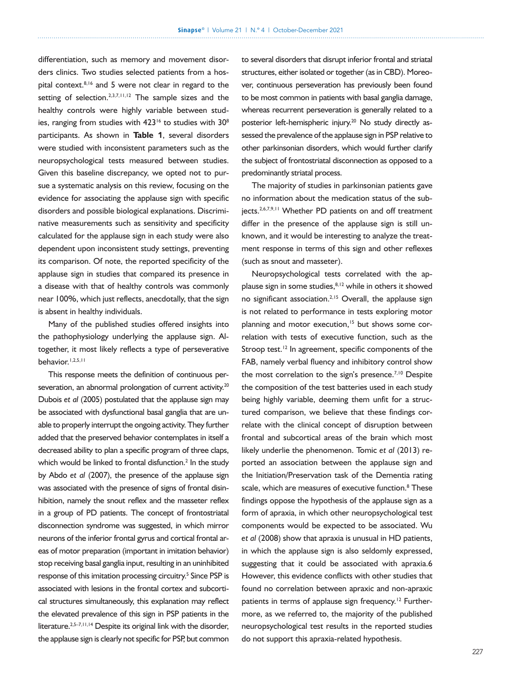differentiation, such as memory and movement disorders clinics. Two studies selected patients from a hospital context.8,16 and 5 were not clear in regard to the setting of selection.<sup>2,3,7,11,12</sup> The sample sizes and the healthy controls were highly variable between studies, ranging from studies with  $423^{16}$  to studies with  $30^8$ participants. As shown in **Table** 1, several disorders were studied with inconsistent parameters such as the neuropsychological tests measured between studies. Given this baseline discrepancy, we opted not to pursue a systematic analysis on this review, focusing on the evidence for associating the applause sign with specific disorders and possible biological explanations. Discriminative measurements such as sensitivity and specificity calculated for the applause sign in each study were also dependent upon inconsistent study settings, preventing its comparison. Of note, the reported specificity of the applause sign in studies that compared its presence in a disease with that of healthy controls was commonly near 100%, which just reflects, anecdotally, that the sign is absent in healthy individuals.

Many of the published studies offered insights into the pathophysiology underlying the applause sign. Altogether, it most likely reflects a type of perseverative behavior.1,2,5,11

This response meets the definition of continuous perseveration, an abnormal prolongation of current activity.<sup>20</sup> Dubois *et al* (2005) postulated that the applause sign may be associated with dysfunctional basal ganglia that are unable to properly interrupt the ongoing activity. They further added that the preserved behavior contemplates in itself a decreased ability to plan a specific program of three claps, which would be linked to frontal disfunction.<sup>2</sup> In the study by Abdo *et al* (2007), the presence of the applause sign was associated with the presence of signs of frontal disinhibition, namely the snout reflex and the masseter reflex in a group of PD patients. The concept of frontostriatal disconnection syndrome was suggested, in which mirror neurons of the inferior frontal gyrus and cortical frontal areas of motor preparation (important in imitation behavior) stop receiving basal ganglia input, resulting in an uninhibited response of this imitation processing circuitry.<sup>5</sup> Since PSP is associated with lesions in the frontal cortex and subcortical structures simultaneously, this explanation may reflect the elevated prevalence of this sign in PSP patients in the literature.<sup>2,5-7,11,14</sup> Despite its original link with the disorder, the applause sign is clearly not specific for PSP, but common

to several disorders that disrupt inferior frontal and striatal structures, either isolated or together (as in CBD). Moreover, continuous perseveration has previously been found to be most common in patients with basal ganglia damage, whereas recurrent perseveration is generally related to a posterior left-hemispheric injury.<sup>20</sup> No study directly assessed the prevalence of the applause sign in PSP relative to other parkinsonian disorders, which would further clarify the subject of frontostriatal disconnection as opposed to a predominantly striatal process.

The majority of studies in parkinsonian patients gave no information about the medication status of the subjects.<sup>2,6,7,9,11</sup> Whether PD patients on and off treatment differ in the presence of the applause sign is still unknown, and it would be interesting to analyze the treatment response in terms of this sign and other reflexes (such as snout and masseter).

Neuropsychological tests correlated with the applause sign in some studies, $8,12$  while in others it showed no significant association.<sup>2,15</sup> Overall, the applause sign is not related to performance in tests exploring motor planning and motor execution,<sup>15</sup> but shows some correlation with tests of executive function, such as the Stroop test.<sup>12</sup> In agreement, specific components of the FAB, namely verbal fluency and inhibitory control show the most correlation to the sign's presence.<sup>7,10</sup> Despite the composition of the test batteries used in each study being highly variable, deeming them unfit for a structured comparison, we believe that these findings correlate with the clinical concept of disruption between frontal and subcortical areas of the brain which most likely underlie the phenomenon. Tomic *et al* (2013) reported an association between the applause sign and the Initiation/Preservation task of the Dementia rating scale, which are measures of executive function.<sup>8</sup> These findings oppose the hypothesis of the applause sign as a form of apraxia, in which other neuropsychological test components would be expected to be associated. Wu *et al* (2008) show that apraxia is unusual in HD patients, in which the applause sign is also seldomly expressed, suggesting that it could be associated with apraxia.6 However, this evidence conflicts with other studies that found no correlation between apraxic and non-apraxic patients in terms of applause sign frequency.<sup>12</sup> Furthermore, as we referred to, the majority of the published neuropsychological test results in the reported studies do not support this apraxia-related hypothesis.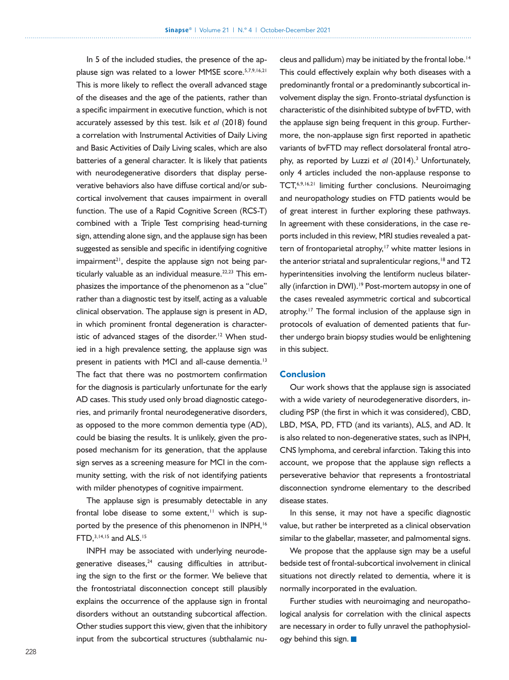In 5 of the included studies, the presence of the applause sign was related to a lower MMSE score.<sup>5,7,9,16,21</sup> This is more likely to reflect the overall advanced stage of the diseases and the age of the patients, rather than a specific impairment in executive function, which is not accurately assessed by this test. Isik *et al* (2018) found a correlation with Instrumental Activities of Daily Living and Basic Activities of Daily Living scales, which are also batteries of a general character. It is likely that patients with neurodegenerative disorders that display perseverative behaviors also have diffuse cortical and/or subcortical involvement that causes impairment in overall function. The use of a Rapid Cognitive Screen (RCS-T) combined with a Triple Test comprising head-turning sign, attending alone sign, and the applause sign has been suggested as sensible and specific in identifying cognitive impairment $21$ , despite the applause sign not being particularly valuable as an individual measure. $22,23$  This emphasizes the importance of the phenomenon as a "clue" rather than a diagnostic test by itself, acting as a valuable clinical observation. The applause sign is present in AD, in which prominent frontal degeneration is characteristic of advanced stages of the disorder.<sup>12</sup> When studied in a high prevalence setting, the applause sign was present in patients with MCI and all-cause dementia.<sup>13</sup> The fact that there was no postmortem confirmation for the diagnosis is particularly unfortunate for the early AD cases. This study used only broad diagnostic categories, and primarily frontal neurodegenerative disorders, as opposed to the more common dementia type (AD), could be biasing the results. It is unlikely, given the proposed mechanism for its generation, that the applause sign serves as a screening measure for MCI in the community setting, with the risk of not identifying patients with milder phenotypes of cognitive impairment.

The applause sign is presumably detectable in any frontal lobe disease to some extent, $11$  which is supported by the presence of this phenomenon in INPH,<sup>16</sup> FTD,3,14,15 and ALS.15

INPH may be associated with underlying neurodegenerative diseases, $24$  causing difficulties in attributing the sign to the first or the former. We believe that the frontostriatal disconnection concept still plausibly explains the occurrence of the applause sign in frontal disorders without an outstanding subcortical affection. Other studies support this view, given that the inhibitory input from the subcortical structures (subthalamic nu-

cleus and pallidum) may be initiated by the frontal lobe.<sup>14</sup> This could effectively explain why both diseases with a predominantly frontal or a predominantly subcortical involvement display the sign. Fronto-striatal dysfunction is characteristic of the disinhibited subtype of bvFTD, with the applause sign being frequent in this group. Furthermore, the non-applause sign first reported in apathetic variants of bvFTD may reflect dorsolateral frontal atrophy, as reported by Luzzi et al (2014).<sup>3</sup> Unfortunately, only 4 articles included the non-applause response to TCT,6,9,16,21 limiting further conclusions. Neuroimaging and neuropathology studies on FTD patients would be of great interest in further exploring these pathways. In agreement with these considerations, in the case reports included in this review, MRI studies revealed a pattern of frontoparietal atrophy,<sup>17</sup> white matter lesions in the anterior striatal and supralenticular regions,<sup>18</sup> and T2 hyperintensities involving the lentiform nucleus bilaterally (infarction in DWI).<sup>19</sup> Post-mortem autopsy in one of the cases revealed asymmetric cortical and subcortical atrophy.<sup>17</sup> The formal inclusion of the applause sign in protocols of evaluation of demented patients that further undergo brain biopsy studies would be enlightening in this subject.

# Conclusion

Our work shows that the applause sign is associated with a wide variety of neurodegenerative disorders, including PSP (the first in which it was considered), CBD, LBD, MSA, PD, FTD (and its variants), ALS, and AD. It is also related to non-degenerative states, such as INPH, CNS lymphoma, and cerebral infarction. Taking this into account, we propose that the applause sign reflects a perseverative behavior that represents a frontostriatal disconnection syndrome elementary to the described disease states.

In this sense, it may not have a specific diagnostic value, but rather be interpreted as a clinical observation similar to the glabellar, masseter, and palmomental signs.

We propose that the applause sign may be a useful bedside test of frontal-subcortical involvement in clinical situations not directly related to dementia, where it is normally incorporated in the evaluation.

Further studies with neuroimaging and neuropathological analysis for correlation with the clinical aspects are necessary in order to fully unravel the pathophysiology behind this sign.